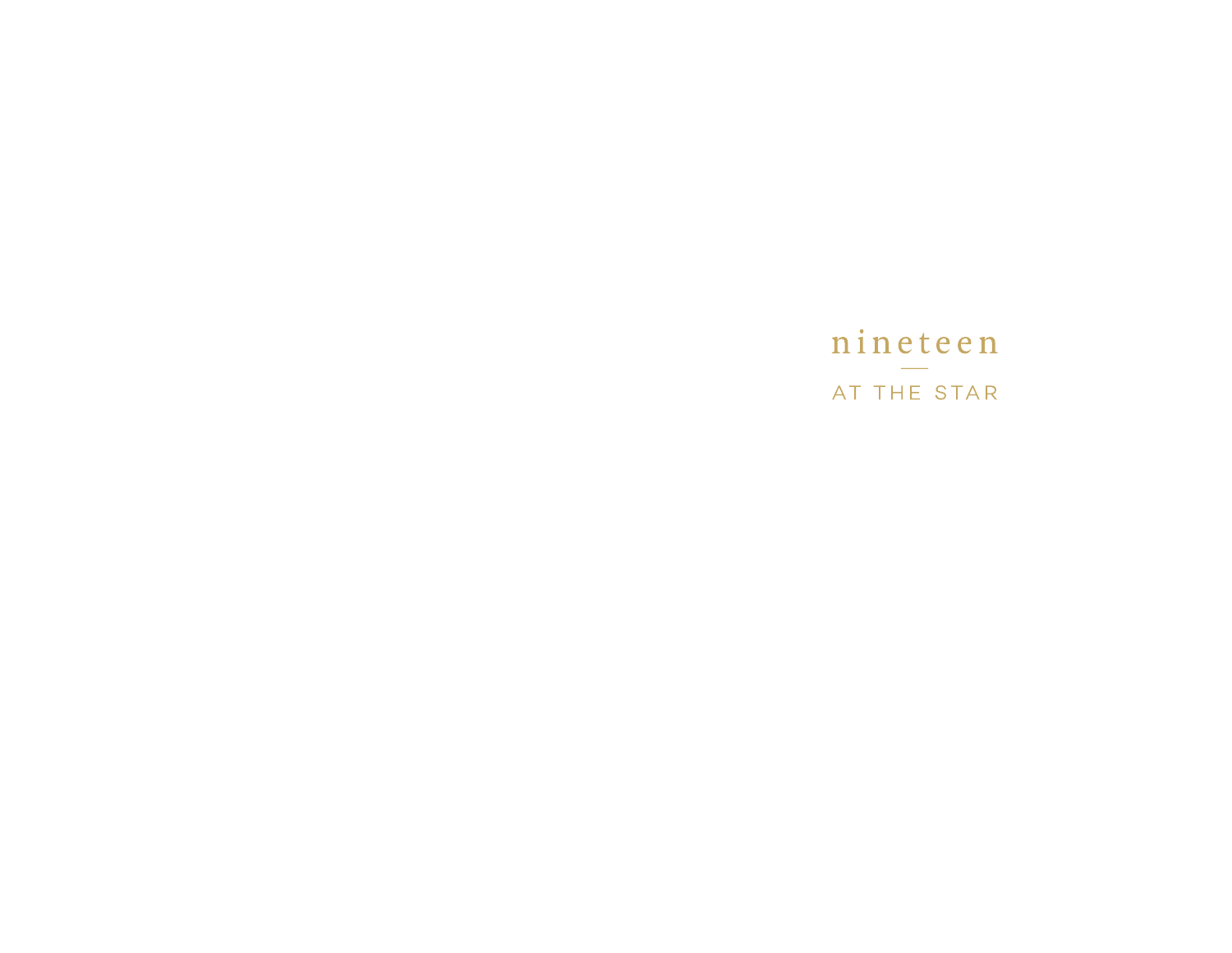# nineteen AT THE STAR